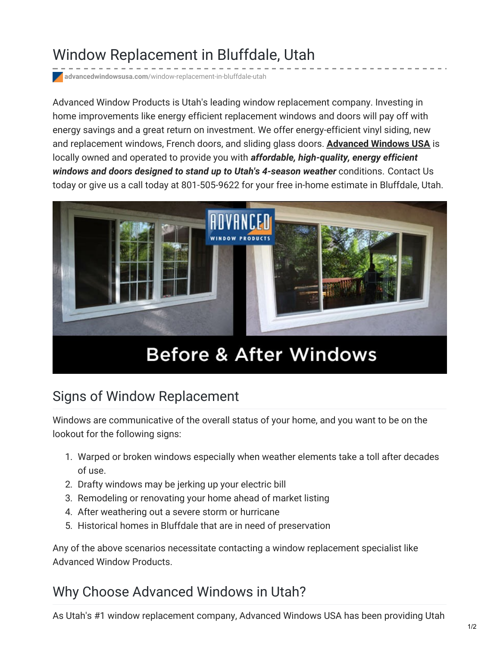# Window Replacement in Bluffdale, Utah

**advancedwindowsusa.com**[/window-replacement-in-bluffdale-utah](https://advancedwindowsusa.com/window-replacement-in-bluffdale-utah)

Advanced Window Products is Utah's leading window replacement company. Investing in home improvements like energy efficient replacement windows and doors will pay off with energy savings and a great return on investment. We offer energy-efficient vinyl siding, new and replacement windows, French doors, and sliding glass doors. **[Advanced](https://advancedwindowsusa.com/) Windows USA** is locally owned and operated to provide you with *affordable, high-quality, energy efficient windows and doors designed to stand up to Utah's 4-season weather* conditions. Contact Us today or give us a call today at 801-505-9622 for your free in-home estimate in Bluffdale, Utah.



# **Before & After Windows**

#### Signs of Window Replacement

Windows are communicative of the overall status of your home, and you want to be on the lookout for the following signs:

- 1. Warped or broken windows especially when weather elements take a toll after decades of use.
- 2. Drafty windows may be jerking up your electric bill
- 3. Remodeling or renovating your home ahead of market listing
- 4. After weathering out a severe storm or hurricane
- 5. Historical homes in Bluffdale that are in need of preservation

Any of the above scenarios necessitate contacting a window replacement specialist like Advanced Window Products.

### Why Choose Advanced Windows in Utah?

As Utah's #1 window replacement company, Advanced Windows USA has been providing Utah